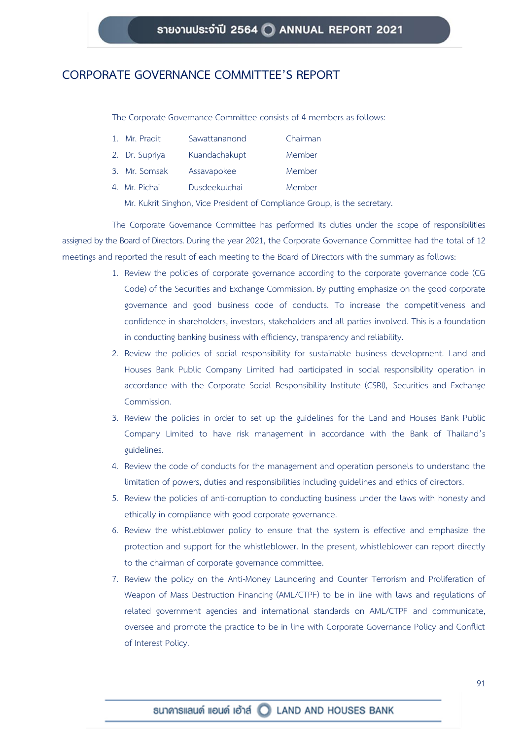## **CORPORATE GOVERNANCE COMMITTEE'S REPORT**

The Corporate Governance Committee consists of 4 members as follows:

| 1. Mr. Pradit  | Sawattananond | Chairman |
|----------------|---------------|----------|
| 2. Dr. Supriya | Kuandachakupt | Member   |
| 3. Mr. Somsak  | Assavapokee   | Member   |
| 4. Mr. Pichai  | Dusdeekulchai | Member   |

Mr. Kukrit Singhon, Vice President of Compliance Group, is the secretary.

The Corporate Governance Committee has performed its duties under the scope of responsibilities assigned by the Board of Directors. During the year 2021, the Corporate Governance Committee had the total of 12 meetings and reported the result of each meeting to the Board of Directors with the summary as follows:

- 1. Review the policies of corporate governance according to the corporate governance code (CG Code) of the Securities and Exchange Commission. By putting emphasize on the good corporate governance and good business code of conducts. To increase the competitiveness and confidence in shareholders, investors, stakeholders and all parties involved. This is a foundation in conducting banking business with efficiency, transparency and reliability.
- 2. Review the policies of social responsibility for sustainable business development. Land and Houses Bank Public Company Limited had participated in social responsibility operation in accordance with the Corporate Social Responsibility Institute (CSRI), Securities and Exchange Commission.
- 3. Review the policies in order to set up the guidelines for the Land and Houses Bank Public Company Limited to have risk management in accordance with the Bank of Thailand's guidelines.
- 4. Review the code of conducts for the management and operation personels to understand the limitation of powers, duties and responsibilities including guidelines and ethics of directors.
- 5. Review the policies of anti-corruption to conducting business under the laws with honesty and ethically in compliance with good corporate governance.
- 6. Review the whistleblower policy to ensure that the system is effective and emphasize the protection and support for the whistleblower. In the present, whistleblower can report directly to the chairman of corporate governance committee.
- 7. Review the policy on the Anti-Money Laundering and Counter Terrorism and Proliferation of Weapon of Mass Destruction Financing (AML/CTPF) to be in line with laws and regulations of related government agencies and international standards on AML/CTPF and communicate, oversee and promote the practice to be in line with Corporate Governance Policy and Conflict of Interest Policy.